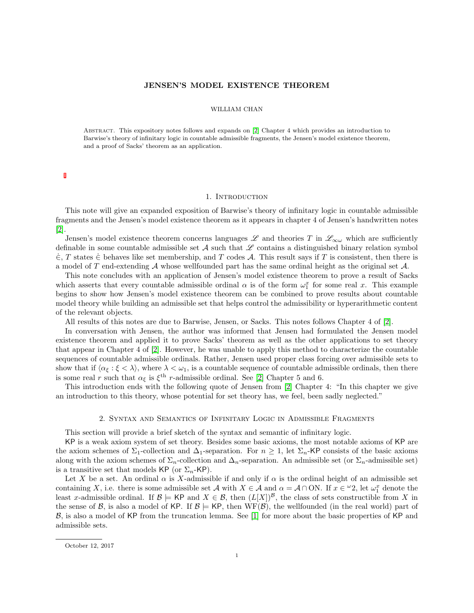# JENSEN'S MODEL EXISTENCE THEOREM

### WILLIAM CHAN

Abstract. This expository notes follows and expands on [\[2\]](#page-5-0) Chapter 4 which provides an introduction to Barwise's theory of infinitary logic in countable admissible fragments, the Jensen's model existence theorem, and a proof of Sacks' theorem as an application.

### 1. Introduction

This note will give an expanded exposition of Barwise's theory of infinitary logic in countable admissible fragments and the Jensen's model existence theorem as it appears in chapter 4 of Jensen's handwritten notes [\[2\]](#page-5-0).

Jensen's model existence theorem concerns languages  $\mathscr L$  and theories T in  $\mathscr L_{\infty\omega}$  which are sufficiently definable in some countable admissible set  $A$  such that  $\mathscr L$  contains a distinguished binary relation symbol  $\in$ , T states  $\in$  behaves like set membership, and T codes A. This result says if T is consistent, then there is a model of T end-extending  $A$  whose wellfounded part has the same ordinal height as the original set  $A$ .

This note concludes with an application of Jensen's model existence theorem to prove a result of Sacks which asserts that every countable admissible ordinal  $\alpha$  is of the form  $\omega_1^x$  for some real x. This example begins to show how Jensen's model existence theorem can be combined to prove results about countable model theory while building an admissible set that helps control the admissibility or hyperarithmetic content of the relevant objects.

All results of this notes are due to Barwise, Jensen, or Sacks. This notes follows Chapter 4 of [\[2\]](#page-5-0).

In conversation with Jensen, the author was informed that Jensen had formulated the Jensen model existence theorem and applied it to prove Sacks' theorem as well as the other applications to set theory that appear in Chapter 4 of [\[2\]](#page-5-0). However, he was unable to apply this method to characterize the countable sequences of countable admissible ordinals. Rather, Jensen used proper class forcing over admissible sets to show that if  $\langle \alpha_{\xi} : \xi < \lambda \rangle$ , where  $\lambda < \omega_1$ , is a countable sequence of countable admissible ordinals, then there is some real r such that  $\alpha_{\xi}$  is  $\xi^{\text{th}}$  r-admissible ordinal. See [\[2\]](#page-5-0) Chapter 5 and 6.

This introduction ends with the following quote of Jensen from [\[2\]](#page-5-0) Chapter 4: "In this chapter we give an introduction to this theory, whose potential for set theory has, we feel, been sadly neglected."

## 2. Syntax and Semantics of Infinitary Logic in Admissible Fragments

This section will provide a brief sketch of the syntax and semantic of infinitary logic.

KP is a weak axiom system of set theory. Besides some basic axioms, the most notable axioms of KP are the axiom schemes of  $\Sigma_1$ -collection and  $\Delta_1$ -separation. For  $n \geq 1$ , let  $\Sigma_n$ -KP consists of the basic axioms along with the axiom schemes of  $\Sigma_n$ -collection and  $\Delta_n$ -separation. An admissible set (or  $\Sigma_n$ -admissible set) is a transitive set that models KP (or  $\Sigma_n$ -KP).

Let X be a set. An ordinal  $\alpha$  is X-admissible if and only if  $\alpha$  is the ordinal height of an admissible set containing X, i.e. there is some admissible set A with  $X \in \mathcal{A}$  and  $\alpha = \mathcal{A} \cap ON$ . If  $x \in {}^{\omega}2$ , let  $\omega_1^x$  denote the least x-admissible ordinal. If  $\mathcal{B} \models \mathsf{KP}$  and  $X \in \mathcal{B}$ , then  $(L[X])^{\mathcal{B}}$ , the class of sets constructible from X in the sense of B, is also a model of KP. If  $\mathcal{B} \models$  KP, then WF(B), the wellfounded (in the real world) part of B, is also a model of KP from the truncation lemma. See [\[1\]](#page-5-1) for more about the basic properties of KP and admissible sets.

October 12, 2017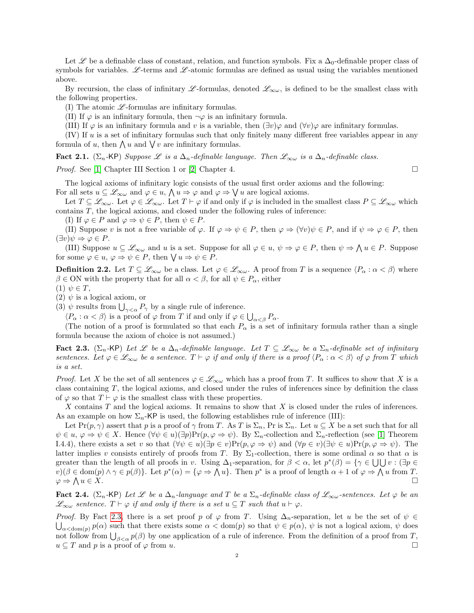Let Let a definable class of constant, relation, and function symbols. Fix a  $\Delta_0$ -definable proper class of symbols for variables. L-terms and L-atomic formulas are defined as usual using the variables mentioned above.

By recursion, the class of infinitary L -formulas, denoted  $\mathcal{L}_{\infty\omega}$ , is defined to be the smallest class with the following properties.

(I) The atomic  $\mathscr{L}$ -formulas are infinitary formulas.

(II) If  $\varphi$  is an infinitary formula, then  $\neg \varphi$  is an infinitary formula.

(III) If  $\varphi$  is an infinitary formula and v is a variable, then  $(\exists v)\varphi$  and  $(\forall v)\varphi$  are infinitary formulas.

 $(IV)$  If u is a set of infinitary formulas such that only finitely many different free variables appear in any formula of u, then  $\bigwedge u$  and  $\bigvee v$  are infinitary formulas.

Fact 2.1. ( $\Sigma_n$ -KP) Suppose L is a  $\Delta_n$ -definable language. Then  $\mathscr{L}_{\infty\omega}$  is a  $\Delta_n$ -definable class.

*Proof.* See [\[1\]](#page-5-1) Chapter III Section 1 or [\[2\]](#page-5-0) Chapter 4.

The logical axioms of infinitary logic consists of the usual first order axioms and the following: For all sets  $u \subseteq \mathscr{L}_{\infty \omega}$  and  $\varphi \in u$ ,  $\bigwedge u \Rightarrow \varphi$  and  $\varphi \Rightarrow \bigvee u$  are logical axioms.

Let  $T \subseteq \mathscr{L}_{\infty \omega}$ . Let  $\varphi \in \mathscr{L}_{\infty \omega}$ . Let  $T \vdash \varphi$  if and only if  $\varphi$  is included in the smallest class  $P \subseteq \mathscr{L}_{\infty \omega}$  which contains T, the logical axioms, and closed under the following rules of inference:

(I) If  $\varphi \in P$  and  $\varphi \Rightarrow \psi \in P$ , then  $\psi \in P$ .

(II) Suppose v is not a free variable of  $\varphi$ . If  $\varphi \Rightarrow \psi \in P$ , then  $\varphi \Rightarrow (\forall v)\psi \in P$ , and if  $\psi \Rightarrow \varphi \in P$ , then  $(\exists v)\psi \Rightarrow \varphi \in P$ .

(III) Suppose  $u \subseteq \mathscr{L}_{\infty\omega}$  and u is a set. Suppose for all  $\varphi \in u$ ,  $\psi \Rightarrow \varphi \in P$ , then  $\psi \Rightarrow \bigwedge u \in P$ . Suppose for some  $\varphi \in u, \varphi \Rightarrow \psi \in P$ , then  $\bigvee u \Rightarrow \psi \in P$ .

**Definition 2.2.** Let  $T \subseteq \mathcal{L}_{\infty\omega}$  be a class. Let  $\varphi \in \mathcal{L}_{\infty\omega}$ . A proof from T is a sequence  $\langle P_{\alpha} : \alpha < \beta \rangle$  where  $\beta \in \text{ON}$  with the property that for all  $\alpha < \beta$ , for all  $\psi \in P_{\alpha}$ , either

 $(1)$   $\psi \in T$ ,

(2)  $\psi$  is a logical axiom, or

(3)  $\psi$  results from  $\bigcup_{\gamma<\alpha}P_{\gamma}$  by a single rule of inference.

 $\langle P_\alpha : \alpha < \beta \rangle$  is a proof of  $\varphi$  from T if and only if  $\varphi \in \bigcup_{\alpha < \beta} P_\alpha$ .

(The notion of a proof is formulated so that each  $P_{\alpha}$  is a set of infinitary formula rather than a single formula because the axiom of choice is not assumed.)

<span id="page-1-0"></span>Fact 2.3. ( $\Sigma_n$ -KP) Let L be a  $\Delta_n$ -definable language. Let  $T \subseteq \mathscr{L}_{\infty \omega}$  be a  $\Sigma_n$ -definable set of infinitary sentences. Let  $\varphi \in \mathscr{L}_{\infty} \omega$  be a sentence.  $T \vdash \varphi$  if and only if there is a proof  $\langle P_{\alpha} : \alpha < \beta \rangle$  of  $\varphi$  from T which is a set.

*Proof.* Let X be the set of all sentences  $\varphi \in \mathscr{L}_{\infty \omega}$  which has a proof from T. It suffices to show that X is a class containing T, the logical axioms, and closed under the rules of inferences since by definition the class of  $\varphi$  so that  $T \vdash \varphi$  is the smallest class with these properties.

X contains T and the logical axioms. It remains to show that X is closed under the rules of inferences. As an example on how  $\Sigma_n$ -KP is used, the following establishes rule of inference (III):

Let  $Pr(p, \gamma)$  assert that p is a proof of  $\gamma$  from T. As T is  $\Sigma_n$ , Pr is  $\Sigma_n$ . Let  $u \subseteq X$  be a set such that for all  $\psi \in u, \varphi \Rightarrow \psi \in X$ . Hence  $(\forall \psi \in u)(\exists p)Pr(p, \varphi \Rightarrow \psi)$ . By  $\Sigma_n$ -collection and  $\Sigma_n$ -reflection (see [\[1\]](#page-5-1) Theorem I.4.4), there exists a set v so that  $(\forall \psi \in u)(\exists p \in v)\Pr(p, \varphi \Rightarrow \psi)$  and  $(\forall p \in v)(\exists \psi \in u)\Pr(p, \varphi \Rightarrow \psi)$ . The latter implies v consists entirely of proofs from T. By  $\Sigma_1$ -collection, there is some ordinal  $\alpha$  so that  $\alpha$  is greater than the length of all proofs in v. Using  $\Delta_1$ -separation, for  $\beta < \alpha$ , let  $p^*(\beta) = \{ \gamma \in \bigcup \bigcup v : (\exists p \in \mathbb{R}^d) \mid v \in \bigcup \bigcup v : (\exists p \in \mathbb{R}^d) \mid v \in \bigcup \bigcup v : (\exists p \in \mathbb{R}^d) \mid v \in \bigcup \bigcup v : (\exists p \in \mathbb{R}^d) \mid v \in \bigcup v \in \bigcup v$  $v(\beta \in \text{dom}(p) \land \gamma \in p(\beta)).$  Let  $p^*(\alpha) = {\varphi \Rightarrow \bigwedge u}.$  Then  $p^*$  is a proof of length  $\alpha + 1$  of  $\varphi \Rightarrow \bigwedge u$  from T.  $\varphi \Rightarrow \Lambda$  $u \in X$ .

<span id="page-1-1"></span>**Fact 2.4.** ( $\Sigma_n$ -KP) Let L be a  $\Delta_n$ -language and T be a  $\Sigma_n$ -definable class of  $\mathcal{L}_{\infty\omega}$ -sentences. Let  $\varphi$  be an  $\mathscr{L}_{\infty\omega}$  sentence.  $T \vdash \varphi$  if and only if there is a set  $u \subseteq T$  such that  $u \vdash \varphi$ .

*Proof.* By Fact [2.3,](#page-1-0) there is a set proof p of  $\varphi$  from T. Using  $\Delta_n$ -separation, let u be the set of  $\psi \in$  $\bigcup_{\alpha<\text{dom}(p)} p(\alpha)$  such that there exists some  $\alpha<\text{dom}(p)$  so that  $\psi\in p(\alpha)$ ,  $\psi$  is not a logical axiom,  $\psi$  does not follow from  $\bigcup_{\beta<\alpha} p(\beta)$  by one application of a rule of inference. From the definition of a proof from T,  $u \subseteq T$  and p is a proof of  $\varphi$  from u.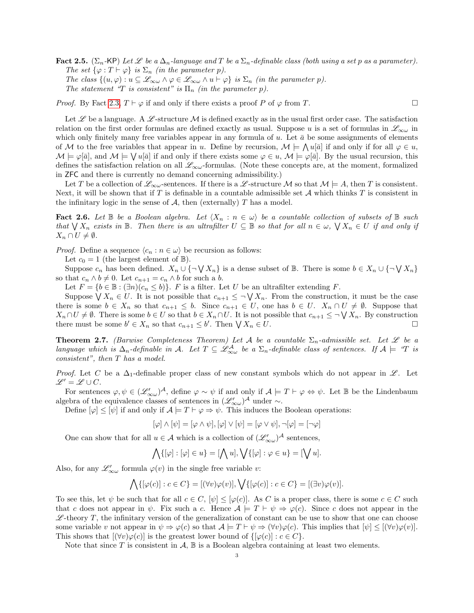Fact 2.5. ( $\Sigma_n$ -KP) Let L be a  $\Delta_n$ -language and T be a  $\Sigma_n$ -definable class (both using a set p as a parameter). The set  $\{\varphi : T \vdash \varphi\}$  is  $\Sigma_n$  (in the parameter p). The class  $\{(u,\varphi): u \subseteq \mathscr{L}_{\infty \omega} \wedge \varphi \in \mathscr{L}_{\infty \omega} \wedge u \vdash \varphi\}$  is  $\Sigma_n$  (in the parameter p). The statement "T is consistent" is  $\Pi_n$  (in the parameter p).

*Proof.* By Fact [2.3,](#page-1-0)  $T \vdash \varphi$  if and only if there exists a proof P of  $\varphi$  from T.

Let  $\mathscr L$  be a language. A  $\mathscr L$ -structure  $\mathcal M$  is defined exactly as in the usual first order case. The satisfaction relation on the first order formulas are defined exactly as usual. Suppose u is a set of formulas in  $\mathscr{L}_{\infty\omega}$  in which only finitely many free variables appear in any formula of u. Let  $\bar{a}$  be some assignments of elements of M to the free variables that appear in u. Define by recursion,  $\mathcal{M} \models \bigwedge u[\bar{a}]$  if and only if for all  $\varphi \in u$ ,  $\mathcal{M} \models \varphi[\bar{a}],$  and  $\mathcal{M} \models \bigvee u[\bar{a}]$  if and only if there exists some  $\varphi \in u$ ,  $\mathcal{M} \models \varphi[\bar{a}]$ . By the usual recursion, this defines the satisfaction relation on all  $\mathscr{L}_{\infty\omega}$ -formulas. (Note these concepts are, at the moment, formalized in ZFC and there is currently no demand concerning admissibility.)

Let T be a collection of  $\mathscr{L}_{\infty\omega}$ -sentences. If there is a  $\mathscr{L}$ -structure M so that  $\mathcal{M} \models A$ , then T is consistent. Next, it will be shown that if T is definable in a countable admissible set A which thinks T is consistent in the infinitary logic in the sense of  $A$ , then (externally)  $T$  has a model.

<span id="page-2-0"></span>**Fact 2.6.** Let  $\mathbb{B}$  be a Boolean algebra. Let  $\langle X_n : n \in \omega \rangle$  be a countable collection of subsets of  $\mathbb{B}$  such that  $\bigvee X_n$  exists in B. Then there is an ultrafilter  $U \subseteq \mathbb{B}$  so that for all  $n \in \omega$ ,  $\bigvee X_n \in U$  if and only if  $X_n \cap U \neq \emptyset$ .

*Proof.* Define a sequence  $\langle c_n : n \in \omega \rangle$  be recursion as follows:

Let  $c_0 = 1$  (the largest element of  $\mathbb{B}$ ).

Suppose  $c_n$  has been defined.  $X_n \cup \{\neg \bigvee X_n\}$  is a dense subset of B. There is some  $b \in X_n \cup \{\neg \bigvee X_n\}$ so that  $c_n \wedge b \neq 0$ . Let  $c_{n+1} = c_n \wedge b$  for such a b.

Let  $F = \{b \in \mathbb{B} : (\exists n)(c_n \leq b)\}.$  F is a filter. Let U be an ultrafilter extending F.

Suppose  $\bigvee X_n \in U$ . It is not possible that  $c_{n+1} \leq \neg \bigvee X_n$ . From the construction, it must be the case there is some  $b \in X_n$  so that  $c_{n+1} \leq b$ . Since  $c_{n+1} \in U$ , one has  $b \in U$ .  $X_n \cap U \neq \emptyset$ . Suppose that  $X_n \cap U \neq \emptyset$ . There is some  $b \in U$  so that  $b \in X_n \cap U$ . It is not possible that  $c_{n+1} \leq \neg \bigvee X_n$ . By construction there must be some  $b' \in X_n$  so that  $c_{n+1} \leq b'$ . Then  $\bigvee X_n \in U$ .

<span id="page-2-1"></span>**Theorem 2.7.** (Barwise Completeness Theorem) Let A be a countable  $\Sigma_n$ -admissible set. Let  $\mathscr L$  be a language which is  $\Delta_n$ -definable in A. Let  $T\subseteq\mathscr{L}^{\mathcal{A}}_{\infty\omega}$  be a  $\Sigma_n$ -definable class of sentences. If  $\mathcal{A} \models$  "T is consistent", then T has a model.

*Proof.* Let C be a  $\Delta_1$ -definable proper class of new constant symbols which do not appear in L. Let  $\mathscr{L}' = \mathscr{L} \cup C.$ 

For sentences  $\varphi, \psi \in (\mathscr{L}'_{\infty \omega})^{\mathcal{A}}$ , define  $\varphi \sim \psi$  if and only if  $\mathcal{A} \models T \vdash \varphi \Leftrightarrow \psi$ . Let  $\mathbb B$  be the Lindenbaum algebra of the equivalence classes of sentences in  $(\mathscr{L}'_{\infty \omega})^{\mathcal{A}}$  under  $\sim$ .

Define  $[\varphi] \leq [\psi]$  if and only if  $\mathcal{A} \models T \vdash \varphi \Rightarrow \psi$ . This induces the Boolean operations:

$$
[\varphi] \wedge [\psi] = [\varphi \wedge \psi], [\varphi] \vee [\psi] = [\varphi \vee \psi], \neg[\varphi] = [\neg \varphi]
$$

One can show that for all  $u \in \mathcal{A}$  which is a collection of  $(\mathcal{L}'_{\infty \omega})^{\mathcal{A}}$  sentences,

$$
\bigwedge \{ [\varphi] : [\varphi] \in u \} = [\bigwedge u], \bigvee \{ [\varphi] : \varphi \in u \} = [\bigvee u].
$$

Also, for any  $\mathscr{L}'_{\infty \omega}$  formula  $\varphi(v)$  in the single free variable v:

$$
\bigwedge \{ [\varphi(c)] : c \in C \} = [(\forall v) \varphi(v)], \bigvee \{ [\varphi(c)] : c \in C \} = [(\exists v) \varphi(v)].
$$

To see this, let  $\psi$  be such that for all  $c \in C$ ,  $[\psi] \leq [\varphi(c)]$ . As C is a proper class, there is some  $c \in C$  such that c does not appear in  $\psi$ . Fix such a c. Hence  $\mathcal{A} \models T \vdash \psi \Rightarrow \varphi(c)$ . Since c does not appear in the  $\mathscr{L}\text{-theory }T$ , the infinitary version of the generalization of constant can be use to show that one can choose some variable v not appear in  $\psi \Rightarrow \varphi(c)$  so that  $\mathcal{A} \models T \vdash \psi \Rightarrow (\forall v)\varphi(c)$ . This implies that  $[\psi] \leq [(\forall v)\varphi(v)]$ . This shows that  $[(\forall v)\varphi(c)]$  is the greatest lower bound of  $\{\varphi(c): c \in C\}$ .

Note that since T is consistent in  $\mathcal{A}, \mathbb{B}$  is a Boolean algebra containing at least two elements.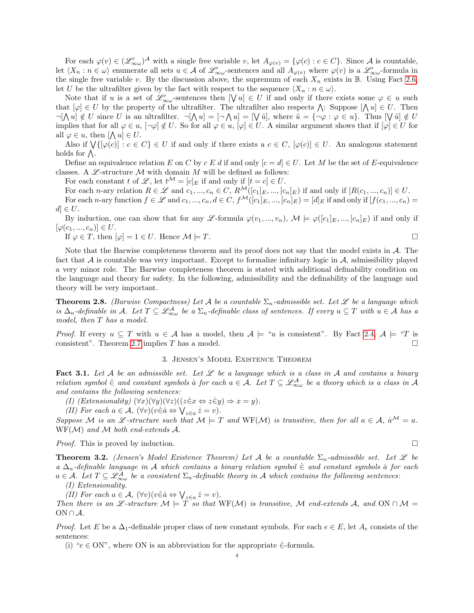For each  $\varphi(v) \in (\mathscr{L}'_{\infty}\omega)^{\mathcal{A}}$  with a single free variable v, let  $A_{\varphi(v)} = {\varphi(c) : c \in C}$ . Since  $\mathcal{A}$  is countable, let  $\langle X_n : n \in \omega \rangle$  enumerate all sets  $u \in \mathcal{A}$  of  $\mathcal{L}'_{\infty \omega}$ -sentences and all  $A_{\varphi(v)}$  where  $\varphi(v)$  is a  $\mathcal{L}'_{\infty \omega}$ -formula in the single free variable v. By the discussion above, the supremum of each  $X_n$  exists in B. Using Fact [2.6,](#page-2-0) let U be the ultrafilter given by the fact with respect to the sequence  $\langle X_n : n \in \omega \rangle$ .

Note that if u is a set of  $\mathscr{L}'_{\infty\omega}$ -sentences then  $[\forall u] \in U$  if and only if there exists some  $\varphi \in u$  such that  $[\varphi] \in U$  by the property of the ultrafilter. The ultrafilter also respects  $\bigwedge$ : Suppose  $[\bigwedge u] \in U$ . Then  $\neg[\bigwedge u]\notin U$  since U is an ultrafilter.  $\neg[\bigwedge u] = [\bigwedge u] = [\bigvee \tilde{u}],$  where  $\tilde{u} = {\neg \varphi : \varphi \in u}.$  Thus  $[\bigvee \tilde{u}] \notin U$ implies that for all  $\varphi \in u$ ,  $[\neg \varphi] \notin U$ . So for all  $\varphi \in u$ ,  $[\varphi] \in U$ . A similar argument shows that if  $[\varphi] \in U$  for all  $\varphi \in u$ , then  $[\bigwedge u] \in U$ .

Also if  $\bigvee\{[\varphi(c)] : c \in C\} \in U$  if and only if there exists a  $c \in C$ ,  $[\varphi(c)] \in U$ . An analogous statement holds for  $\Lambda$ .

Define an equivalence relation E on C by c E d if and only  $[c = d] \in U$ . Let M be the set of E-equivalence classes. A  $\mathscr L$ -structure M with domain M will be defined as follows:

For each constant t of  $\mathscr{L}$ , let  $t^{\mathcal{M}} = [c]_E$  if and only if  $[t = c] \in U$ .

For each n-ary relation  $R \in \mathscr{L}$  and  $c_1, ..., c_n \in C$ ,  $R^{\mathcal{M}}([c_1]_E, ..., [c_n]_E)$  if and only if  $[R(c_1, ..., c_n)] \in U$ . For each n-ary function  $f \in \mathscr{L}$  and  $c_1, ..., c_n, d \in C$ ,  $f^{\mathcal{M}}([c_1]_E, ..., [c_n]_E) = [d]_E$  if and only if  $[f(c_1, ..., c_n) =$  $d \in U$ .

By induction, one can show that for any L-formula  $\varphi(v_1, ..., v_n)$ ,  $\mathcal{M} \models \varphi([c_1]_E, ..., [c_n]_E)$  if and only if  $[\varphi(c_1, ..., c_n)] \in U.$ 

If  $\varphi \in T$ , then  $|\varphi| = 1 \in U$ . Hence  $\mathcal{M} \models T$ .

Note that the Barwise completeness theorem and its proof does not say that the model exists in 
$$
\mathcal A
$$
. The fact that  $\mathcal A$  is countable was very important. Except to formalize infinitary logic in  $\mathcal A$ , admissibility played a very minor role. The Barwise completeness theorem is stated with additional definability condition on the language and theory for safety. In the following, admissibility and the definability of the language and theory will be very important.

<span id="page-3-1"></span>**Theorem 2.8.** (Barwise Compactness) Let A be a countable  $\Sigma_n$ -admissible set. Let  $\mathscr L$  be a language which is  $\Delta_n$ -definable in A. Let  $T \subseteq \mathscr{L}^{\mathcal{A}}_{\infty \omega}$  be a  $\Sigma_n$ -definable class of sentences. If every  $u \subseteq T$  with  $u \in \mathcal{A}$  has a model, then T has a model.

*Proof.* If every  $u \subseteq T$  with  $u \in A$  has a model, then  $A \models "u$  is consistent". By Fact [2.4,](#page-1-1)  $A \models "T$  is consistent". Theorem [2.7](#page-2-1) implies T has a model.  $\square$ 

# 3. Jensen's Model Existence Theorem

<span id="page-3-0"></span>Fact 3.1. Let A be an admissible set. Let  $\mathscr L$  be a language which is a class in A and contains a binary relation symbol  $\dot{\in}$  and constant symbols a for each  $a \in \mathcal{A}$ . Let  $T \subseteq \mathcal{L}^{\mathcal{A}}_{\infty \omega}$  be a theory which is a class in  $\mathcal{A}$ and contains the following sentences:

(I) (Extensionality)  $(\forall x)(\forall y)(\forall z)((z \in x \Leftrightarrow z \in y) \Rightarrow x = y).$ 

(II) For each  $a \in \mathcal{A}$ ,  $(\forall v)(v \in \dot{a} \Leftrightarrow \bigvee_{z \in a} \dot{z} = v)$ .

Suppose M is an L-structure such that  $M \models T$  and  $WF(M)$  is transitive, then for all  $a \in A$ ,  $\dot{a}^{\mathcal{M}} = a$ .  $WF(\mathcal{M})$  and  $\mathcal{M}$  both end-extends  $\mathcal{A}.$ 

*Proof.* This is proved by induction.  $\square$ 

<span id="page-3-2"></span>**Theorem 3.2.** (Jensen's Model Existence Theorem) Let A be a countable  $\Sigma_n$ -admissible set. Let L be a  $\Delta_n$ -definable language in A which contains a binary relation symbol  $\in$  and constant symbols a for each  $a \in \mathcal{A}$ . Let  $T \subseteq \mathscr{L}^{\mathcal{A}}_{\infty \omega}$  be a consistent  $\Sigma_n$ -definable theory in  $\mathcal{A}$  which contains the following sentences:

(I) Extensionality.

(II) For each  $a \in \mathcal{A}$ ,  $(\forall v)(v \in \dot{a} \Leftrightarrow \bigvee_{z \in a} \dot{z} = v)$ .

Then there is an L -structure  $M \models T$  so that WF(M) is transitive, M end-extends A, and ON ∩ M =  $ON \cap A$ .

*Proof.* Let E be a  $\Delta_1$ -definable proper class of new constant symbols. For each  $e \in E$ , let  $A_e$  consists of the sentences:

(i) " $e \in ON$ ", where ON is an abbreviation for the appropriate  $\in$ -formula.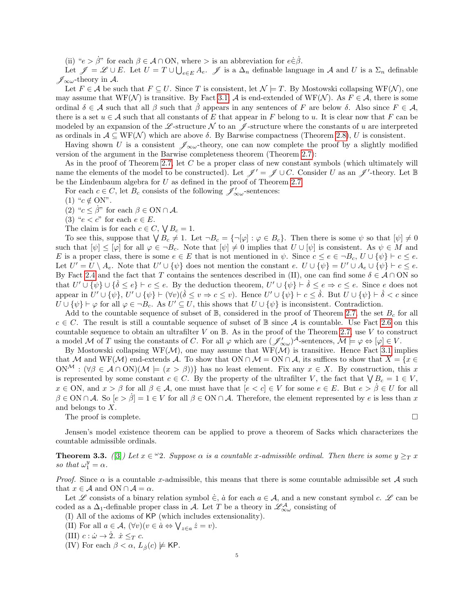(ii) " $e > \dot{\beta}$ " for each  $\beta \in \mathcal{A} \cap \text{ON}$ , where  $>$  is an abbreviation for  $e \in \dot{\beta}$ .

Let  $\mathscr{J} = \mathscr{L} \cup E$ . Let  $U = T \cup \bigcup_{e \in E} A_e$ .  $\mathscr{J}$  is a  $\Delta_n$  definable language in A and U is a  $\Sigma_n$  definable  $\mathscr{J}_{\infty\omega}$ -theory in A.

Let  $F \in \mathcal{A}$  be such that  $F \subseteq U$ . Since T is consistent, let  $\mathcal{N} \models T$ . By Mostowski collapsing WF( $\mathcal{N}$ ), one may assume that  $WF(\mathcal{N})$  is transitive. By Fact [3.1,](#page-3-0)  $\mathcal{A}$  is end-extended of  $WF(\mathcal{N})$ . As  $F \in \mathcal{A}$ , there is some ordinal  $\delta \in \mathcal{A}$  such that all  $\beta$  such that  $\beta$  appears in any sentences of F are below  $\delta$ . Also since  $F \in \mathcal{A}$ , there is a set  $u \in A$  such that all constants of E that appear in F belong to u. It is clear now that F can be modeled by an expansion of the L-structure N to an  $\mathcal J$ -structure where the constants of u are interpreted as ordinals in  $A \subseteq WF(\mathcal{N})$  which are above  $\delta$ . By Barwise compactness (Theorem [2.8\)](#page-3-1), U is consistent.

Having shown U is a consistent  $\mathscr{J}_{\infty\omega}$ -theory, one can now complete the proof by a slightly modified version of the argument in the Barwise completeness theorem (Theorem [2.7\)](#page-2-1):

As in the proof of Theorem [2.7,](#page-2-1) let C be a proper class of new constant symbols (which ultimately will name the elements of the model to be constructed). Let  $\mathscr{J}' = \mathscr{J} \cup C$ . Consider U as an  $\mathscr{J}'$ -theory. Let B be the Lindenbaum algebra for U as defined in the proof of Theorem [2.7.](#page-2-1)

For each  $c \in C$ , let  $B_c$  consists of the following  $\mathscr{J}'_{\infty \omega}$ -sentences:

(1) " $c \notin ON$ ".

(2) " $c < \beta$ " for each  $\beta \in \mathcal{ON} \cap \mathcal{A}$ .

(3) " $e < c$ " for each  $e \in E$ .

The claim is for each  $c \in C$ ,  $\bigvee B_c = 1$ .

To see this, suppose that  $\bigvee B_c \neq 1$ . Let  $\neg B_c = \{\neg [\varphi] : \varphi \in B_c\}$ . Then there is some  $\psi$  so that  $[\psi] \neq 0$ such that  $[\psi] \leq [\varphi]$  for all  $\varphi \in \neg B_c$ . Note that  $[\psi] \neq 0$  implies that  $U \cup [\psi]$  is consistent. As  $\psi \in M$  and E is a proper class, there is some  $e \in E$  that is not mentioned in  $\psi$ . Since  $c \le e \in \neg B_c$ ,  $U \cup {\{\psi\}} \vdash c \le e$ . Let  $U' = U \setminus A_e$ . Note that  $U' \cup {\psi}$  does not mention the constant  $e$ .  $U \cup {\psi} = U' \cup A_e \cup {\psi} \vdash c \leq e$ . By Fact [2.4](#page-1-1) and the fact that T contains the sentences described in (II), one can find some  $\delta \in \mathcal{A} \cap ON$  so that  $U' \cup \{\psi\} \cup \{\dot{\delta} \leq e\} \vdash c \leq e$ . By the deduction theorem,  $U' \cup \{\psi\} \vdash \dot{\delta} \leq e \Rightarrow c \leq e$ . Since e does not appear in  $U' \cup \{\psi\}$ ,  $U' \cup \{\psi\} \vdash (\forall v)(\dot{\delta} \leq v \Rightarrow c \leq v)$ . Hence  $U' \cup \{\psi\} \vdash c \leq \dot{\delta}$ . But  $U \cup \{\psi\} \vdash \dot{\delta} < c$  since  $U \cup {\psi} \vdash \varphi$  for all  $\varphi \in \neg B_c$ . As  $U' \subseteq U$ , this shows that  $U \cup {\psi}$  is inconsistent. Contradiction.

Add to the countable sequence of subset of  $\mathbb{B}$ , considered in the proof of Theorem [2.7,](#page-2-1) the set  $B_c$  for all  $c \in C$ . The result is still a countable sequence of subset of  $\mathbb B$  since A is countable. Use Fact [2.6](#page-2-0) on this countable sequence to obtain an ultrafilter  $V$  on  $\mathbb B$ . As in the proof of the Theorem [2.7,](#page-2-1) use  $V$  to construct a model M of T using the constants of C. For all  $\varphi$  which are  $(\mathscr{J}'_{\infty \omega})^{\mathcal{A}}$ -sentences,  $\mathcal{M} \models \varphi \Leftrightarrow [\varphi] \in V$ .

By Mostowski collapsing WF( $M$ ), one may assume that WF( $M$ ) is transitive. Hence Fact [3.1](#page-3-0) implies that M and WF(M) end-extends A. To show that ON  $\cap$  M = ON  $\cap$  A, its suffices to show that  $X = \{x \in$  $\text{ON}^{\mathcal{M}} : (\forall \beta \in \mathcal{A} \cap \text{ON})(\mathcal{M} \models (x > \beta))$  has no least element. Fix any  $x \in X$ . By construction, this x is represented by some constant  $c \in C$ . By the property of the ultrafilter V, the fact that  $\bigvee B_c = 1 \in V$ ,  $x \in \text{ON}$ , and  $x > \beta$  for all  $\beta \in \mathcal{A}$ , one must have that  $[e < c] \in V$  for some  $e \in E$ . But  $e > \beta \in U$  for all  $\beta \in \text{ON} \cap \mathcal{A}$ . So  $[e > \beta] = 1 \in V$  for all  $\beta \in \text{ON} \cap \mathcal{A}$ . Therefore, the element represented by e is less than x and belongs to X.

The proof is complete.  $\Box$ 

Jensen's model existence theorem can be applied to prove a theorem of Sacks which characterizes the countable admissible ordinals.

**Theorem 3.3.** ([\[3\]](#page-5-2)) Let  $x \in \mathcal{L}$  2. Suppose  $\alpha$  is a countable x-admissible ordinal. Then there is some  $y \geq_T x$ so that  $\omega_1^y = \alpha$ .

*Proof.* Since  $\alpha$  is a countable x-admissible, this means that there is some countable admissible set  $\mathcal A$  such that  $x \in \mathcal{A}$  and ON  $\cap \mathcal{A} = \alpha$ .

Let L consists of a binary relation symbol  $\in$ ,  $\dot{a}$  for each  $a \in \mathcal{A}$ , and a new constant symbol c. L can be coded as a  $\Delta_1$ -definable proper class in A. Let T be a theory in  $\mathscr{L}^{\mathcal{A}}_{\infty\omega}$  consisting of

- (I) All of the axioms of KP (which includes extensionality).
- (II) For all  $a \in \mathcal{A}$ ,  $(\forall v)(v \in \dot{a} \Leftrightarrow \bigvee_{z \in a} \dot{z} = v)$ .

(III) 
$$
c : \dot{\omega} \to \dot{2}.
$$
  $\dot{x} \leq_T c.$ 

(IV) For each  $\beta < \alpha$ ,  $L_{\beta}(c) \not\models$  KP.